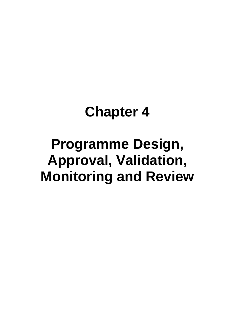## **Chapter 4**

# **Programme Design, Approval, Validation, Monitoring and Review**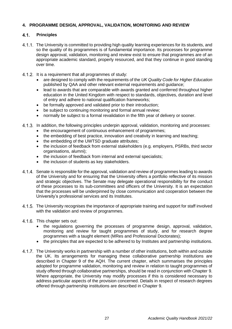## **4. PROGRAMME DESIGN, APPROVAL, VALIDATION, MONITORING AND REVIEW**

#### $4.1.$ **Principles**

- The University is committed to providing high quality learning experiences for its students, and so the quality of its programmes is of fundamental importance. Its processes for programme design approval, validation, monitoring and review exist to ensure that programmes are of an appropriate academic standard, properly resourced, and that they continue in good standing over time.
- 4.1.2. It is a requirement that all programmes of study:
	- are designed to comply with the requirements of the *UK Quality Code for Higher Education*  published by QAA and other relevant external requirements and guidance;
	- lead to awards that are comparable with awards granted and conferred throughout higher education in the United Kingdom with respect to standards, objectives, duration and level of entry and adhere to national qualification frameworks;
	- be formally approved and validated prior to their introduction:
	- be subject to continuing monitoring and formal annual review;
	- normally be subject to a formal revalidation in the fifth year of delivery or sooner.
- 4.1.3. In addition, the following principles underpin approval, validation, monitoring and processes:
	- the encouragement of continuous enhancement of programmes;
	- the embedding of best practice, innovation and creativity in learning and teaching;
	- the embedding of the UWTSD graduate attributes;
	- the inclusion of feedback from external stakeholders (e.g. employers, PSRBs, third sector organisations, alumni);
	- the inclusion of feedback from internal and external specialists:
	- the inclusion of students as key stakeholders.
- 4.1.4. Senate is responsible for the approval, validation and review of programmes leading to awards of the University and for ensuring that the University offers a portfolio reflective of its mission and strategic objectives. The Senate may delegate operational responsibility for the conduct of these processes to its sub-committees and officers of the University. It is an expectation that the processes will be underpinned by close communication and cooperation between the University's professional services and its Institutes.
- The University recognises the importance of appropriate training and support for staff involved with the validation and review of programmes.
- 4.1.6. This chapter sets out:
	- the regulations governing the processes of programme design, approval, validation, monitoring and review for taught programmes of study, and for research degree programmes with a taught element (MRes and Professional Doctorates);
	- the principles that are expected to be adhered to by Institutes and partnership institutions.
- The University works in partnership with a number of other institutions, both within and outside the UK. Its arrangements for managing these collaborative partnership institutions are described in Chapter 9 of the AQH. The current chapter, which summarises the principles adopted for programme validation, monitoring and review in relation to taught programmes of study offered through collaborative partnerships, should be read in conjunction with Chapter 9. Where appropriate, the University may modify processes if this is considered necessary to address particular aspects of the provision concerned. Details in respect of research degrees offered through partnership institutions are described in Chapter 9.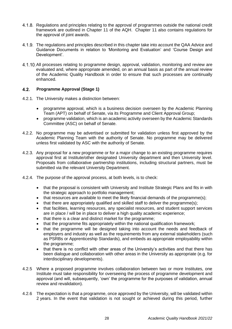- Regulations and principles relating to the approval of programmes outside the national credit framework are outlined in Chapter 11 of the AQH. Chapter 11 also contains regulations for the approval of joint awards.
- The regulations and principles described in this chapter take into account the QAA Advice and Guidance Documents in relation to 'Monitoring and Evaluation' and 'Course Design and Development'.
- All processes relating to programme design, approval, validation, monitoring and review are evaluated and, where appropriate amended, on an annual basis as part of the annual review of the Academic Quality Handbook in order to ensure that such processes are continually enhanced.

#### $4.2.$ **Programme Approval (Stage 1)**

- 4.2.1. The University makes a distinction between:
	- programme approval, which is a business decision overseen by the Academic Planning Team (APT) on behalf of Senate, via its Programme and Client Approval Group;
	- programme validation, which is an academic activity overseen by the Academic Standards Committee (ASC) on behalf of Senate.
- 4.2.2. No programme may be advertised or submitted for validation unless first approved by the Academic Planning Team with the authority of Senate. No programme may be delivered unless first validated by ASC with the authority of Senate.
- 4.2.3. Any proposal for a new programme or for a major change to an existing programme requires approval first at Institute/other designated University department and then University level. Proposals from collaborative partnership institutions, including structural partners, must be submitted via the relevant University Department.
- 4.2.4. The purpose of the approval process, at both levels, is to check:
	- that the proposal is consistent with University and Institute Strategic Plans and fits in with the strategic approach to portfolio management;
	- that resources are available to meet the likely financial demands of the programme(s);
	- that there are appropriately qualified and skilled staff to deliver the programme(s);
	- that facilities, learning resources, any specialist resources, and student support services are in place / will be in place to deliver a high quality academic experience;
	- that there is a clear and distinct market for the programme;
	- that the programme fits appropriately within the national qualification framework;
	- that the programme will be designed taking into account the needs and feedback of employers and industry as well as the requirements from any external stakeholders (such as PSRBs or Apprenticeship Standards), and embeds as appropriate employability within the programme;
	- that there is no conflict with other areas of the University's activities and that there has been dialogue and collaboration with other areas in the University as appropriate (e.g. for interdisciplinary developments).
- 4.2.5 Where a proposed programme involves collaboration between two or more Institutes, one Institute must take responsibility for overseeing the process of programme development and approval (and will, subsequently, 'own' the programme for the purposes of validation, annual review and revalidation).
- 4.2.6 The expectation is that a programme, once approved by the University, will be validated within 2 years. In the event that validation is not sought or achieved during this period, further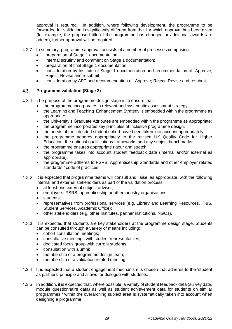approval is required. In addition, where following development, the programme to be forwarded for validation is significantly different from that for which approval has been given (for example, the proposed title of the programme has changed or additional awards are added), further approval will be required.

- 4.2.7 In summary, programme approval consists of a number of processes comprising:
	- preparation of Stage 1 documentation;
	- internal scrutiny and comment on Stage 1 documentation;
	- preparation of final Stage 1 documentation;
	- consideration by Institute of Stage 1 documentation and recommendation of: Approve: Reject; Revise and resubmit;
	- consideration by APT and recommendation of: Approve; Reject; Revise and resubmit.

#### $4.3.$ **Programme validation (Stage 2)**

- 4.3.1. The purpose of the programme design stage is to ensure that:
	- the programme incorporates a relevant and systematic assessment strategy;
	- the Learning and Teaching Enhancement Strategy is embedded within the programme as appropriate;
	- the University's Graduate Attributes are embedded within the programme as appropriate;
	- the programme incorporates key principles of inclusive programme design;
	- the needs of the intended student cohort have been taken into account appropriately;
	- the programme adheres appropriately to the revised UK Quality Code for Higher Education, the national qualifications frameworks and any subject benchmarks;
	- the programme ensures appropriate rigour and stretch;
	- the programme takes into account student feedback data (internal and/or external as appropriate);
	- the programme adheres to PSRB, Apprenticeship Standards and other employer related standards / code of practices.
- 4.3.2. It is expected that programme teams will consult and liaise, as appropriate, with the following internal and external stakeholders as part of the validation process:
	- at least one external subject adviser;
	- employers, PSRB, apprenticeship or other industry organisations;
	- students:
	- representatives from professional services (e.g. Library and Learning Resources, IT&S, Student Services, Academic Office);
	- other stakeholders (e.g. other Institutes, partner institutions, NGOs).
- 4.3.3. It is expected that students are key stakeholders at the programme design stage. Students can be consulted through a variety of means including:
	- cohort consultation meetings:
	- consultative meetings with student representatives;
	- dedicated focus group with current students;
	- consultation with alumni;
	- membership of a programme design team;
	- membership of a validation related meeting.
- 4.3.4 It is expected that a student engagement mechanism is chosen that adheres to the 'student as partners' principle and allows for dialogue with students.
- 4.3.5 In addition, it is expected that, where possible, a variety of student feedback data (survey data, module questionnaire data) as well as student achievement data for students on similar programmes / within the overarching subject area is systematically taken into account when designing a programme.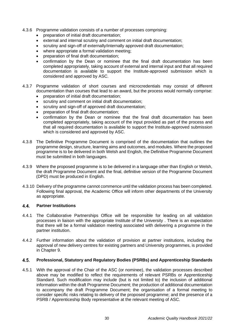- 4.3.6 Programme validation consists of a number of processes comprising:
	- preparation of initial draft documentation;
	- external and internal scrutiny and comment on initial draft documentation;
	- scrutiny and sign-off of externally/internally approved draft documentation;
	- where appropriate a formal validation meeting;
	- preparation of final draft documentation;
	- confirmation by the Dean or nominee that the final draft documentation has been completed appropriately, taking account of external and internal input and that all required documentation is available to support the Institute-approved submission which is considered and approved by ASC.
- 4.3.7 Programme validation of short courses and microcredentials may consist of different documentation than courses that lead to an award, but the process would normally comprise:
	- preparation of initial draft documentation;
	- scrutiny and comment on initial draft documentation;
	- scrutiny and sign-off of approved draft documentation:
	- preparation of final draft documentation;
	- confirmation by the Dean or nominee that the final draft documentation has been completed appropriately, taking account of the input provided as part of the process and that all required documentation is available to support the Institute-approved submission which is considered and approved by ASC.
- 4.3.8 The Definitive Programme Document is comprised of the documentation that outlines the programme design, structure, learning aims and outcomes, and modules. Where the proposed programme is to be delivered in both Welsh and English, the Definitive Programme Document must be submitted in both languages.
- 4.3.9 Where the proposed programme is to be delivered in a language other than English or Welsh, the draft Programme Document and the final, definitive version of the Programme Document (DPD) must be produced in English.
- 4.3.10 Delivery of the programme cannot commence until the validation process has been completed. Following final approval, the Academic Office will inform other departments of the University as appropriate.

#### $4.4.$ **Partner Institutions**

- 4.4.1 The Collaborative Partnerships Office will be responsible for leading on all validation processes in liaison with the appropriate Institute of the University . There is an expectation that there will be a formal validation meeting associated with delivering a programme in the partner institution.
- 4.4.2 Further information about the validation of provision at partner institutions, including the approval of new delivery centres for existing partners and University programmes, is provided in Chapter 9.

#### $4.5.$ **Professional, Statutory and Regulatory Bodies (PSRBs) and Apprenticeship Standards**

4.5.1 With the approval of the Chair of the ASC (or nominee), the validation processes described above may be modified to reflect the requirements of relevant PSRBs or Apprenticeship Standard. Such modification may include (but is not limited to) the inclusion of additional information within the draft Programme Document; the production of additional documentation to accompany the draft Programme Document; the organisation of a formal meeting to consider specific risks relating to delivery of the proposed programme; and the presence of a PSRB / Apprenticeship Body representative at the relevant meeting of ASC.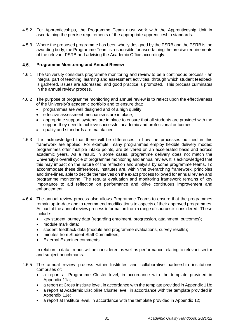- 4.5.2 For Apprenticeships, the Programme Team must work with the Apprenticeship Unit in ascertaining the precise requirements of the appropriate apprenticeship standards.
- 4.5.3 Where the proposed programme has been wholly designed by the PSRB and the PSRB is the awarding body, the Programme Team is responsible for ascertaining the precise requirements of the relevant PSRB and advising the Academic Office accordingly.

#### $4.6.$ **Programme Monitoring and Annual Review**

- 4.6.1 The University considers programme monitoring and review to be a continuous process an integral part of teaching, learning and assessment activities, through which student feedback is gathered, issues are addressed, and good practice is promoted. This process culminates in the annual review process.
- 4.6.2 The purpose of programme monitoring and annual review is to reflect upon the effectiveness of the University's academic portfolio and to ensure that:
	- programmes are well designed and of a high quality;
	- effective assessment mechanisms are in place;
	- appropriate support systems are in place to ensure that all students are provided with the support they need to achieve successful academic and professional outcomes;
	- quality and standards are maintained.
- 4.6.3 It is acknowledged that there will be differences in how the processes outlined in this framework are applied. For example, many programmes employ flexible delivery modes: programmes offer multiple intake points, are delivered on an accelerated basis and across academic years. As a result, in some cases, programme delivery does not match the University's overall cycle of programme monitoring and annual review. It is acknowledged that this may impact on the nature of the reflection and analysis by some programme teams. To accommodate these differences, Institutes are, within the overarching framework, principles and time-lines, able to decide themselves on the exact process followed for annual review and programme monitoring. The regular evaluation and monitoring framework remains of key importance to aid reflection on performance and drive continuous improvement and enhancement.
- 4.6.4 The annual review process also allows Programme Teams to ensure that the programmes remain up-to-date and to recommend modifications to aspects of their approved programmes. As part of the annual review process information from a range of sources is considered. These include:
	- key student journey data (regarding enrolment, progression, attainment, outcomes);
	- module mark data:
	- student feedback data (module and programme evaluations, survey results);
	- minutes from Student Staff Committees;
	- External Examiner comments.

In relation to data, trends will be considered as well as performance relating to relevant sector and subject benchmarks.

- 4.6.5 The annual review process within Institutes and collaborative partnership institutions comprises of:
	- a report at Programme Cluster level, in accordance with the template provided in Appendix 11a;
	- a report at Cross Institute level, in accordance with the template provided in Appendix 11b;
	- a report at Academic Discipline Cluster level, in accordance with the template provided in Appendix 11e;
	- a report at Institute level, in accordance with the template provided in Appendix 12;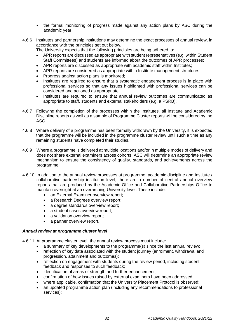- the formal monitoring of progress made against any action plans by ASC during the academic year.
- 4.6.6 Institutes and partnership institutions may determine the exact processes of annual review, in accordance with the principles set out below.

The University expects that the following principles are being adhered to:

- APR reports are discussed as appropriate with student representatives (e.g. within Student Staff Committees) and students are informed about the outcomes of APR processes;
- APR reports are discussed as appropriate with academic staff within Institutes;
- APR reports are considered as appropriate within Institute management structures;
- Progress against action plans is monitored;
- Institutes are required to ensure that a systematic engagement process is in place with professional services so that any issues highlighted with professional services can be considered and actioned as appropriate;
- Institutes are required to ensure that annual review outcomes are communicated as appropriate to staff, students and external stakeholders (e.g. a PSRB).
- 4.6.7 Following the completion of the processes within the Institutes, all Institute and Academic Discipline reports as well as a sample of Programme Cluster reports will be considered by the ASC.
- 4.6.8 Where delivery of a programme has been formally withdrawn by the University, it is expected that the programme will be included in the programme cluster review until such a time as any remaining students have completed their studies.
- 4.6.9 Where a programme is delivered at multiple locations and/or in multiple modes of delivery and does not share external examiners across cohorts, ASC will determine an appropriate review mechanism to ensure the consistency of quality, standards, and achievements across the programme.
- 4.6.10 In addition to the annual review processes at programme, academic discipline and Institute / collaborative partnership institution level, there are a number of central annual overview reports that are produced by the Academic Office and Collaborative Partnerships Office to maintain oversight at an overarching University level. These include:
	- an External Examiner overview report:
	- a Research Degrees overview report;
	- a degree standards overview report:
	- a student cases overview report;
	- a validation overview report;
	- a partner overview report.

## *Annual review at programme cluster level*

4.6.11 At programme cluster level, the annual review process must include:

- a summary of key developments to the programme(s) since the last annual review:
- reflection of key data associated with the student journey (enrolment, withdrawal and progression, attainment and outcomes);
- reflection on engagement with students during the review period, including student feedback and responses to such feedback;
- identification of areas of strength and further enhancement;
- confirmation of how issues raised by external examiners have been addressed;
- where applicable, confirmation that the University Placement Protocol is observed;
- an updated programme action plan (including any recommendations to professional services);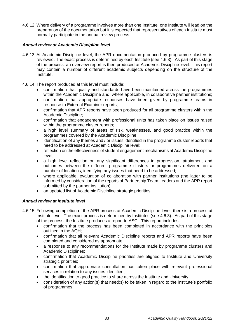4.6.12 Where delivery of a programme involves more than one Institute, one Institute will lead on the preparation of the documentation but it is expected that representatives of each Institute must normally participate in the annual review process.

#### *Annual review at Academic Discipline level*

- 4.6.13 At Academic Discipline level, the APR documentation produced by programme clusters is reviewed. The exact process is determined by each Institute (see 4.6.3). As part of this stage of the process, an overview report is then produced at Academic Discipline level. This report may contain a number of different academic subjects depending on the structure of the Institute.
- 4.6.14 The report produced at this level must include:
	- confirmation that quality and standards have been maintained across the programmes within the Academic Discipline and, where applicable, in collaborative partner institutions;
	- confirmation that appropriate responses have been given by programme teams in response to External Examiner reports;
	- confirmation that APR reports have been produced for all programme clusters within the Academic Discipline;
	- confirmation that engagement with professional units has taken place on issues raised within the programme cluster reports;
	- a high level summary of areas of risk, weaknesses, and good practice within the programmes covered by the Academic Discipline;
	- identification of anv themes and / or issues identified in the programme cluster reports that need to be addressed at Academic Discipline level;
	- reflection on the effectiveness of student engagement mechanisms at Academic Discipline level;
	- a high level reflection on any significant differences in progression, attainment and outcomes between the different programme clusters or programmes delivered on a number of locations, identifying any issues that need to be addressed;
	- where applicable, evaluation of collaboration with partner institutions (the latter to be informed by consideration of the reports of Partnership Team Leaders and the APR report submitted by the partner institution);
	- an updated list of Academic Discipline strategic priorities.

## *Annual review at Institute level*

- 4.6.15 Following completion of the APR process at Academic Discipline level, there is a process at Institute level. The exact process is determined by Institutes (see 4.6.3). As part of this stage of the process, the Institute produces a report to ASC. This report includes:
	- confirmation that the process has been completed in accordance with the principles outlined in the AQH;
	- confirmation that all relevant Academic Discipline reports and APR reports have been completed and considered as appropriate;
	- a response to any recommendations for the Institute made by programme clusters and Academic Disciplines;
	- confirmation that Academic Discipline priorities are aligned to Institute and University strategic priorities:
	- confirmation that appropriate consultation has taken place with relevant professional services in relation to any issues identified;
	- the identification to good practice to share across the Institute and University;
	- consideration of any action(s) that need(s) to be taken in regard to the Institute's portfolio of programmes.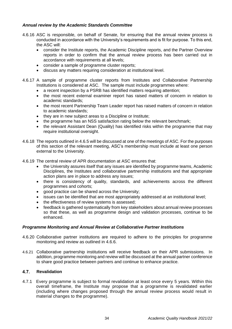## *Annual review by the Academic Standards Committee*

- 4.6.16 ASC is responsible, on behalf of Senate, for ensuring that the annual review process is conducted in accordance with the University's requirements and is fit for purpose. To this end, the ASC will:
	- consider the Institute reports, the Academic Discipline reports, and the Partner Overview reports in order to confirm that the annual review process has been carried out in accordance with requirements at all levels;
	- consider a sample of programme cluster reports;
	- discuss any matters requiring consideration at institutional level.
- 4.6.17 A sample of programme cluster reports from Institutes and Collaborative Partnership Institutions is considered at ASC. The sample must include programmes where:
	- a recent inspection by a PSRB has identified matters requiring attention;
	- the most recent external examiner report has raised matters of concern in relation to academic standards;
	- the most recent Partnership Team Leader report has raised matters of concern in relation to academic standards;
	- they are in new subject areas to a Discipline or Institute;
	- the programme has an NSS satisfaction rating below the relevant benchmark;
	- the relevant Assistant Dean (Quality) has identified risks within the programme that may require institutional oversight.
- 4.6.18 The reports outlined in 4.6.5 will be discussed at one of the meetings of ASC. For the purposes of this section of the relevant meeting, ASC's membership must include at least one person external to the University.
- 4.6.19 The central review of APR documentation at ASC ensures that:
	- the University assures itself that any issues are identified by programme teams, Academic Disciplines, the Institutes and collaborative partnership institutions and that appropriate action plans are in place to address any issues;
	- there is consistency of quality, standards, and achievements across the different programmes and cohorts;
	- good practice can be shared across the University;
	- issues can be identified that are most appropriately addressed at an institutional level;
	- the effectiveness of review systems is assessed;
	- feedback is gathered systematically from key stakeholders about annual review processes so that these, as well as programme design and validation processes, continue to be enhanced.

## *Programme Monitoring and Annual Review at Collaborative Partner Institutions*

- 4.6.20 Collaborative partner institutions are required to adhere to the principles for programme monitoring and review as outlined in 4.6.6.
- 4.6.21 Collaborative partnership institutions will receive feedback on their APR submissions. In addition, programme monitoring and review will be discussed at the annual partner conference to share good practice between partners and continue to enhance practice.

#### $4.7.$ **Revalidation**

4.7.1 Every programme is subject to formal revalidation at least once every 5 years. Within this overall timeframe, the Institute may propose that a programme is revalidated earlier (including where changes proposed through the annual review process would result in material changes to the programme).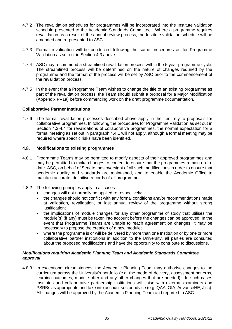- 4.7.2 The revalidation schedules for programmes will be incorporated into the Institute validation schedule presented to the Academic Standards Committee. Where a programme requires revalidation as a result of the annual review process, the Institute validation schedule will be amended and re-presented to ASC.
- 4.7.3 Formal revalidation will be conducted following the same procedures as for Programme Validation as set out in Section 4.3 above.
- 4.7.4 ASC may recommend a streamlined revalidation process within the 5 year programme cycle. The streamlined process will be determined on the nature of changes required by the programme and the format of the process will be set by ASC prior to the commencement of the revalidation process.
- 4.7.5 In the event that a Programme Team wishes to change the title of an existing programme as part of the revalidation process, the Team should submit a proposal for a Major Modification (Appendix PV1a) before commencing work on the draft programme documentation.

## **Collaborative Partner Institutions**

4.7.6 The formal revalidation processes described above apply in their entirety to proposals for collaborative programmes. In following the procedures for Programme Validation as set out in Section 4.3-4.4 for revalidations of collaborative programmes, the normal expectation for a formal meeting as set out in paragraph 4.4.1 will not apply, although a formal meeting may be required where specific risks have been identified.

#### $4.8$ **Modifications to existing programmes**

- 4.8.1 Programme Teams may be permitted to modify aspects of their approved programmes and may be permitted to make changes to content to ensure that the programmes remain up-todate. ASC, on behalf of Senate, has oversight of all such modifications in order to ensure that academic quality and standards are maintained, and to enable the Academic Office to maintain accurate, definitive records of all programmes.
- 4.8.2 The following principles apply in all cases:
	- changes will not normally be applied retrospectively;
	- the changes should not conflict with any formal conditions and/or recommendations made at validation, revalidation, or last annual review of the programme without strong justification:
	- the implications of module changes for any other programme of study that utilises the module(s) (if any) must be taken into account before the changes can be approved. In the event that Programme Teams are unable to reach agreement on changes, it may be necessary to propose the creation of a new module;
	- where the programme is or will be delivered by more than one Institution or by one or more collaborative partner institutions in addition to the University, all parties are consulted about the proposed modifications and have the opportunity to contribute to discussions.

#### *Modifications requiring Academic Planning Team and Academic Standards Committee approval*

4.8.3 In exceptional circumstances, the Academic Planning Team may authorise changes to the curriculum across the University's portfolio (e.g. the mode of delivery, assessment patterns, learning outcomes, module offer and any other changes that are needed). In such cases Institutes and collaborative partnership institutions will liaise with external examiners and PSRBs as appropriate and take into account sector advice (e.g. QAA, OIA, AdvanceHE, Jisc). All changes will be approved by the Academic Planning Team and reported to ASC.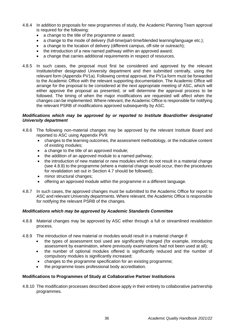- 4.8.4 In addition to proposals for new programmes of study, the Academic Planning Team approval is required for the following:
	- a change to the title of the programme or award:
	- a change to the mode of delivery (full-time/part-time/blended learning/language etc.);
	- a change to the location of delivery (different campus, off-site or outreach);
	- the introduction of a new named pathway within an approved award;
	- a change that carries additional requirements in respect of resources.
- 4.8.5 In such cases, the proposal must first be considered and approved by the relevant Institute/other designated University department and then submitted centrally, using the relevant form (Appendix PV1a). Following central approval, the PV1a form must be forwarded to the Academic Office with the relevant supporting documentation. The Academic Office will arrange for the proposal to be considered at the next appropriate meeting of ASC, which will either approve the proposal as presented, or will determine the approval process to be followed. The timing of when the major modifications are requested will affect when the changes can be implemented. Where relevant, the Academic Office is responsible for notifying the relevant PSRB of modifications approved subsequently by ASC.

#### *Modifications which may be approved by or reported to Institute Board/other designated University department*

- 4.8.6 The following non-material changes may be approved by the relevant Institute Board and reported to ASC using Appendix PV9:
	- changes to the learning outcomes, the assessment methodology, or the indicative content of existing modules;
	- a change to the title of an approved module;
	- the addition of an approved module to a named pathway;
	- the introduction of new material or new modules which do not result in a material change (see 4.8.8) to the programme (where a material change would occur, then the procedures for revalidation set out in Section 4.7 should be followed);
	- minor structural changes;
	- offering an approved module within the programme in a different language.
- 4.8.7 In such cases, the approved changes must be submitted to the Academic Office for report to ASC and relevant University departments. Where relevant, the Academic Office is responsible for notifying the relevant PSRB of the changes.

## *Modifications which may be approved by Academic Standards Committee*

- 4.8.8 Material changes may be approved by ASC either through a full or streamlined revalidation process.
- 4.8.9 The introduction of new material or modules would result in a material change if:
	- the types of assessment tool used are significantly changed (for example, introducing assessment by examination, where previously examinations had not been used at all);
	- the number of optional modules offered is significantly reduced and the number of compulsory modules is significantly increased;
	- changes to the programme specification for an existing programme;
	- the programme loses professional body accreditation.

#### **Modifications to Programmes of Study at Collaborative Partner Institutions**

4.8.10 The modification processes described above apply in their entirety to collaborative partnership programmes.